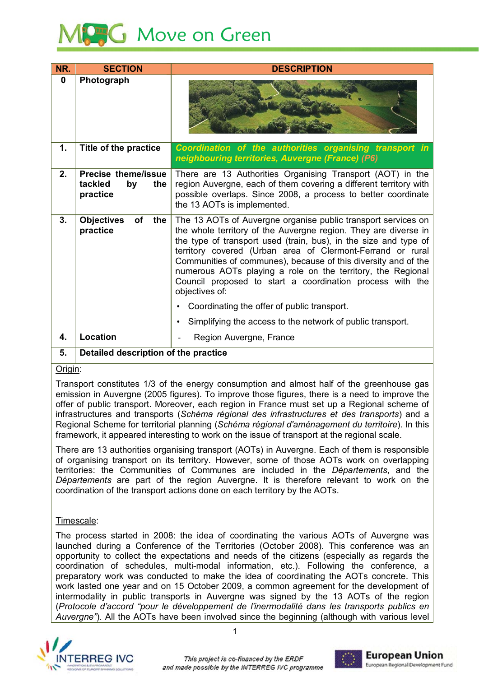# **Move on Green**

| NR.         | <b>SECTION</b>                                          | <b>DESCRIPTION</b>                                                                                                                                                                                                                                                                                                                                                                                                                                                                 |  |  |  |  |
|-------------|---------------------------------------------------------|------------------------------------------------------------------------------------------------------------------------------------------------------------------------------------------------------------------------------------------------------------------------------------------------------------------------------------------------------------------------------------------------------------------------------------------------------------------------------------|--|--|--|--|
| $\mathbf 0$ | Photograph                                              |                                                                                                                                                                                                                                                                                                                                                                                                                                                                                    |  |  |  |  |
| 1.          | Title of the practice                                   | Coordination of the authorities organising transport in<br>neighbouring territories, Auvergne (France) (P6)                                                                                                                                                                                                                                                                                                                                                                        |  |  |  |  |
| 2.          | Precise theme/issue<br>tackled<br>by<br>the<br>practice | There are 13 Authorities Organising Transport (AOT) in the<br>region Auvergne, each of them covering a different territory with<br>possible overlaps. Since 2008, a process to better coordinate<br>the 13 AOTs is implemented.                                                                                                                                                                                                                                                    |  |  |  |  |
| 3.          | <b>Objectives</b><br>of<br>the<br>practice              | The 13 AOTs of Auvergne organise public transport services on<br>the whole territory of the Auvergne region. They are diverse in<br>the type of transport used (train, bus), in the size and type of<br>territory covered (Urban area of Clermont-Ferrand or rural<br>Communities of communes), because of this diversity and of the<br>numerous AOTs playing a role on the territory, the Regional<br>Council proposed to start a coordination process with the<br>objectives of: |  |  |  |  |
|             |                                                         | Coordinating the offer of public transport.<br>Simplifying the access to the network of public transport.<br>$\bullet$                                                                                                                                                                                                                                                                                                                                                             |  |  |  |  |
| 4.          | <b>Location</b>                                         | Region Auvergne, France                                                                                                                                                                                                                                                                                                                                                                                                                                                            |  |  |  |  |
| 5.          | Detailed description of the practice                    |                                                                                                                                                                                                                                                                                                                                                                                                                                                                                    |  |  |  |  |

Origin:

Transport constitutes 1/3 of the energy consumption and almost half of the greenhouse gas emission in Auverane (2005 figures). To improve those figures, there is a need to improve the offer of public transport. Moreover, each region in France must set up a Regional scheme of infrastructures and transports (Schéma régional des infrastructures et des transports) and a Regional Scheme for territorial planning (Schéma régional d'aménagement du territoire). In this framework, it appeared interesting to work on the issue of transport at the regional scale.

There are 13 authorities organising transport (AOTs) in Auvergne. Each of them is responsible of organising transport on its territory. However, some of those AOTs work on overlapping territories: the Communities of Communes are included in the *Départements*, and the Départements are part of the region Auvergne. It is therefore relevant to work on the coordination of the transport actions done on each territory by the AOTs.

## Timescale:

The process started in 2008; the idea of coordinating the various AOTs of Auvergne was launched during a Conference of the Territories (October 2008). This conference was an opportunity to collect the expectations and needs of the citizens (especially as regards the coordination of schedules, multi-modal information, etc.). Following the conference, a preparatory work was conducted to make the idea of coordinating the AOTs concrete. This work lasted one vear and on 15 October 2009, a common agreement for the development of intermodality in public transports in Auvergne was signed by the 13 AOTs of the region *Protocole d'accord "pour le développement de l'inermodalité dans les transports publics en*  Auvergne"). All the AOTs have been involved since the beginning (although with various level



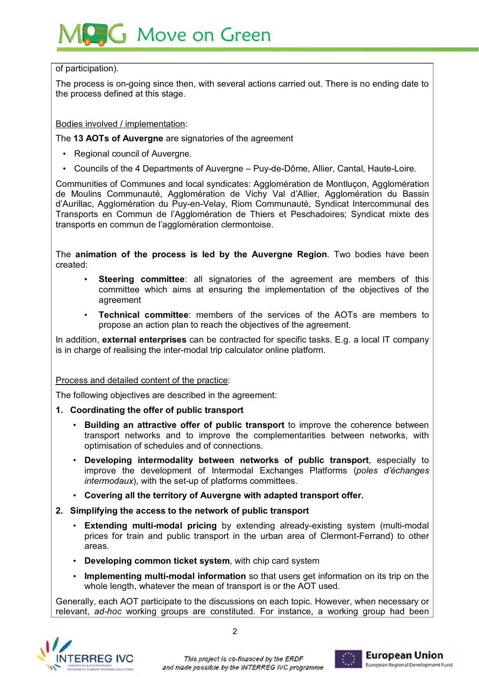## **Move on Green**

## of participation).

The process is on-going since then, with several actions carried out. There is no ending date to the process defined at this stage.

## Bodies involved / implementation:

The **13 AOTs of Auvergne** are signatories of the agreement

- Regional council of Auvergne.
- Councils of the 4 Departments of Auvergne Puv-de-Dôme, Allier, Cantal, Haute-Loire,

Communities of Communes and local syndicates: Agglomération de Montlucon, Agglomération de Moulins Communauté. Agglomération de Vichy Val d'Allier. Agglomération du Bassin d'Aurillac. Agglomération du Puy-en-Velay. Riom Communauté. Syndicat Intercommunal des Transports en Commun de l'Agglomération de Thiers et Peschadoires: Syndicat mixte des transports en commun de l'agglomération clermontoise.

The **animation of the process is led by the Auvergne Region**. Two bodies have been created:

- **Steering committee**; all signatories of the agreement are members of this committee which aims at ensuring the implementation of the objectives of the agreement
- Technical committee: members of the services of the AOTs are members to propose an action plan to reach the objectives of the agreement.

In addition, **external enterprises** can be contracted for specific tasks. E.g. a local IT company is in charge of realising the inter-modal trip calculator online platform.

## Process and detailed content of the practice:

The following objectives are described in the agreement:

- **1. Coordinating the offer of public transport** 
	- **Building an attractive offer of public transport**
	transport networks and to improve the complementarities between networks, with optimisation of schedules and of connections.
	- **Developing intermodality between networks of public transport** improve the development of Intermodal Exchanges Platforms (poles d'échanges *intermodaux*), with the set-up of platforms committees.
	- **Covering all the territory of Auvergne with adapted transport offer.**
- **2. Simplifying the access to the network of public transport** 
	- **Extending multi-modal pricing** by extending already-existing system (multi-modal prices for train and public transport in the urban area of Clermont-Ferrand) to other areas.
	- **Developing common ticket system**
	- **Implementing multi-modal information** so that users get information on its trip on the whole length. whatever the mean of transport is or the AOT used.

Generally, each AOT participate to the discussions on each topic. However, when necessary or relevant, ad-hoc working groups are constituted. For instance, a working group had been



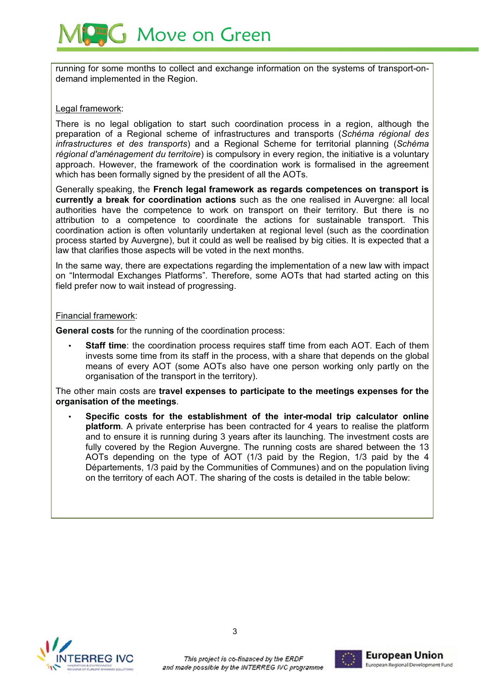

running for some months to collect and exchange information on the systems of transport-ondemand implemented in the Region.

### Legal framework:

There is no legal obligation to start such coordination process in a region, although the preparation of a Regional scheme of infrastructures and transports (Schéma régional des *infrastructures et des transports*) and a Regional Scheme for territorial planning (Schéma régional d'aménagement du territoire) is compulsory in every region, the initiative is a voluntary approach. However, the framework of the coordination work is formalised in the agreement which has been formally signed by the president of all the AOTs.

Generally speaking, the **French legal framework as regards competences on transport is** currently a break for coordination actions such as the one realised in Auvergne: all local authorities have the competence to work on transport on their territory. But there is no attribution to a competence to coordinate the actions for sustainable transport. This coordination action is often voluntarily undertaken at regional level (such as the coordination process started by Auvergne), but it could as well be realised by big cities. It is expected that a law that clarifies those aspects will be voted in the next months.

In the same way, there are expectations regarding the implementation of a new law with impact on "Intermodal Exchanges Platforms". Therefore, some AOTs that had started acting on this field prefer now to wait instead of progressing.

#### Financial framework:

General costs for the running of the coordination process:

• Staff time: the coordination process requires staff time from each AOT. Each of them invests some time from its staff in the process, with a share that depends on the global means of every AOT (some AOTs also have one person working only partly on the organisation of the transport in the territory).

The other main costs are travel expenses to participate to the meetings expenses for the **organisation of the meetings**

• **Specific costs for the establishment of the inter-modal trip calculator online**  platform. A private enterprise has been contracted for 4 years to realise the platform and to ensure it is running during 3 years after its launching. The investment costs are fully covered by the Region Auverane. The running costs are shared between the 13 AOTs depending on the type of AOT  $(1/3)$  paid by the Region. 1/3 paid by the 4 Départements, 1/3 paid by the Communities of Communes) and on the population living on the territory of each AOT. The sharing of the costs is detailed in the table below:



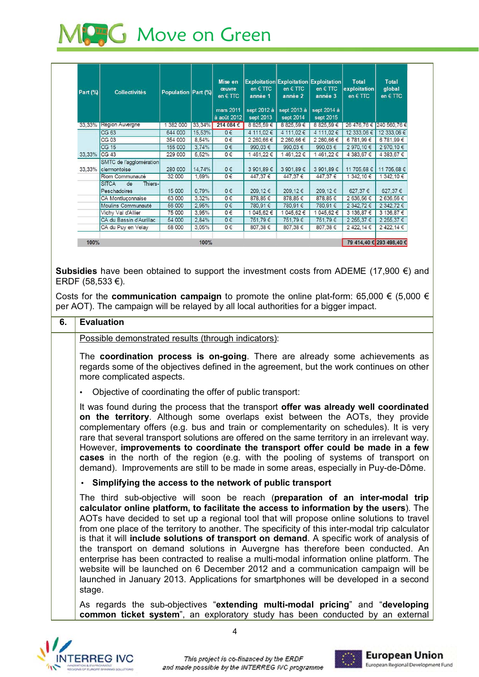

| Part (%)     | <b>Collectivités</b>                           | Population Part (%) |           | Mise en<br>œuvre<br>en $\in$ TTC<br>mars 2011<br>à août 2012 | en $\in$ TTC<br>année 1<br>sept 2012 à<br>sept 2013 | <b>Exploitation Exploitation Exploitation</b><br>en $\in$ TTC<br>année 2<br>sept 2013 à<br>sept 2014 | en $\in$ TTC<br>année 3<br>sept 2014 à<br>sept 2015 | <b>Total</b><br>exploitation<br>en $\epsilon$ TTC | <b>Total</b><br>global<br>en $\epsilon$ TTC |
|--------------|------------------------------------------------|---------------------|-----------|--------------------------------------------------------------|-----------------------------------------------------|------------------------------------------------------------------------------------------------------|-----------------------------------------------------|---------------------------------------------------|---------------------------------------------|
|              | 33,33% Région Auvergne                         | 382 000             | $33,34\%$ | 214 084 €                                                    | 8 825,59 €                                          | 8 825,59 €                                                                                           | 8 825,59 €                                          | 26 476,76 € 240 560,76 €                          |                                             |
|              | CG 63                                          | 644 000             | 15,53%    | $0 \in$                                                      | 4 111,02 €                                          | 4 111,02 €                                                                                           | 4 111,02 €                                          | 12 333,06 €                                       | 12 333,06 €                                 |
|              | <b>CG 03</b>                                   | 354 000             | 8,54%     | $0 \in$                                                      | 2 260,66 €                                          | 2 260,66 €                                                                                           | 2 260,66 €                                          | 6 781,99 €                                        | 6 781,99 €                                  |
|              | CG 15                                          | 155 000             | 3,74%     | $0 \in$                                                      | 990,03 €                                            | 990.03 €                                                                                             | 990.03€                                             | 2 970,10 €                                        | 2 970,10 €                                  |
| 33,33% CG 43 |                                                | 229 000             | 5,52%     | $0 \in$                                                      | 1461,22€                                            | 1461,22€                                                                                             | 1461,22€                                            | 4 383,67 €                                        | 4 383,67 €                                  |
|              | SMTC de l'agglomération<br>33,33% clermontoise | 280 000             | 14,74%    | $0 \in$                                                      | 3 901,89 €                                          | 3 901,89 €                                                                                           | 3 901,89 €                                          | 11 705,68 €                                       | 11 705,68 €                                 |
|              | Riom Communauté                                | 32 000              | 1,69%     | $0 \in$                                                      | 447,37 €                                            | 447,37 €                                                                                             | 447,37 €                                            | 342,10 €                                          | 342,10 €                                    |
|              | <b>SITCA</b><br>de<br>Thiers-<br>Peschadoires  | 15 000              | 0,79%     | $0 \in$                                                      | 209,12 €                                            | 209,12€                                                                                              | 209,12 €                                            | 627,37 €                                          | 627,37 €                                    |
|              | CA Montluconnaise                              | 63 000              | 3,32%     | $0 \in$                                                      | 878,85 €                                            | 878,85€                                                                                              | 878,85€                                             | 2 636,56 €                                        | 2 636,56 €                                  |
|              | Moulins Communauté                             | 56 000              | 2,95%     | $0 \in$                                                      | 780,91 €                                            | 780,91€                                                                                              | 780,91€                                             | 2 342.72 €                                        | 2 342,72 €                                  |
|              | Vichy Val d'Allier                             | 75 000              | 3,95%     | $0 \in$                                                      | 1 045,62 €                                          | 1 045,62 €                                                                                           | 1 045,62 €                                          | 3 136,87 €                                        | 3 136,87 €                                  |
|              | CA du Bassin d'Aurillac                        | 54 000              | 2,84%     | $0 \in$                                                      | 751,79€                                             | 751,79€                                                                                              | 751.79€                                             | 2 255.37 €                                        | 2 255,37 €                                  |
|              | CA du Puy en Velay                             | 58 000              | 3,05%     | $0 \in$                                                      | 807,38 €                                            | 807,38 €                                                                                             | 807,38 €                                            | 2 422,14 €                                        | 2422,14 €                                   |

Subsidies have been obtained to support the investment costs from ADEME  $(17,900 \in )$  and ERDF  $(58,533 €)$ .

Costs for the **communication campaign** to promote the online plat-form: 65,000  $\in$  (5,000  $\in$ per AOT). The campaign will be relaved by all local authorities for a bigger impact.

## **6. Evaluation** Possible demonstrated results (through indicators): The **coordination process is on-going**. There are already some achievements as regards some of the objectives defined in the agreement, but the work continues on other more complicated aspects. Objective of coordinating the offer of public transport: It was found during the process that the transport offer was already well coordinated on the territory. Although some overlaps exist between the AOTs, they provide complementary offers (e.g. bus and train or complementarity on schedules). It is very rare that several transport solutions are offered on the same territory in an irrelevant way. However, improvements to coordinate the transport offer could be made in a few cases in the north of the region (e.g. with the pooling of systems of transport on demand). Improvements are still to be made in some areas, especially in Puy-de-Dôme. • **Simplifying the access to the network of public transport**  The third sub-objective will soon be reach (preparation of an inter-modal trip **calculator online platform, to facilitate the access to information by the users** AOTs have decided to set up a regional tool that will propose online solutions to travel from one place of the territory to another. The specificity of this inter-modal trip calculator is that it will include solutions of transport on demand. A specific work of analysis of the transport on demand solutions in Auvergne has therefore been conducted. An enterprise has been contracted to realise a multi-modal information online platform. The website will be launched on 6 December 2012 and a communication campaign will be launched in January 2013. Applications for smartphones will be developed in a second stage. As regards the sub-objectives "extending multi-modal pricing" and "developing common ticket system", an exploratory study has been conducted by an external



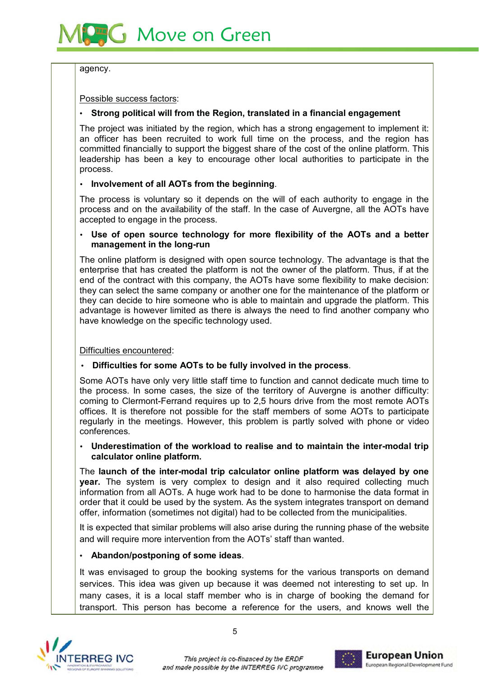

agency.

Possible success factors:

## • **Strong political will from the Region, translated in a financial engagement**

The project was initiated by the region, which has a strong engagement to implement it: an officer has been recruited to work full time on the process, and the region has committed financially to support the biggest share of the cost of the online platform. This leadership has been a key to encourage other local authorities to participate in the process.

## • **Involvement of all AOTs from the beginning**

The process is voluntary so it depends on the will of each authority to engage in the process and on the availability of the staff. In the case of Auvergne, all the AOTs have accepted to engage in the process.

### • **Use of open source technology for more flexibility of the AOTs and a better management in the long-run**

The online platform is designed with open source technology. The advantage is that the enterprise that has created the platform is not the owner of the platform. Thus, if at the end of the contract with this company, the AOTs have some flexibility to make decision: they can select the same company or another one for the maintenance of the platform or they can decide to hire someone who is able to maintain and upgrade the platform. This advantage is however limited as there is always the need to find another company who have knowledge on the specific technology used.

Difficulties encountered:

## • **Difficulties for some AOTs to be fully involved in the process**

Some AOTs have only very little staff time to function and cannot dedicate much time to the process. In some cases, the size of the territory of Auvergne is another difficulty:  $comina$  to Clermont-Ferrand requires up to 2.5 hours drive from the most remote AOTs offices. It is therefore not possible for the staff members of some AOTs to participate regularly in the meetings. However, this problem is partly solved with phone or video conferences

## • **Underestimation of the workload to realise and to maintain the inter-modal trip calculator online platform.**

The launch of the inter-modal trip calculator online platform was delayed by one year. The system is very complex to design and it also required collecting much information from all AOTs. A huge work had to be done to harmonise the data format in order that it could be used by the system. As the system integrates transport on demand offer, information (sometimes not digital) had to be collected from the municipalities.

It is expected that similar problems will also arise during the running phase of the website and will require more intervention from the AOTs' staff than wanted.

## • **Abandon/postponing of some ideas**

It was envisaged to group the booking systems for the various transports on demand services. This idea was given up because it was deemed not interesting to set up. In many cases, it is a local staff member who is in charge of booking the demand for transport. This person has become a reference for the users, and knows well the